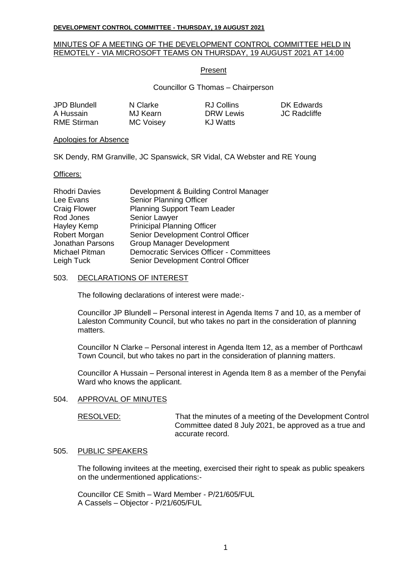## MINUTES OF A MEETING OF THE DEVELOPMENT CONTROL COMMITTEE HELD IN REMOTELY - VIA MICROSOFT TEAMS ON THURSDAY, 19 AUGUST 2021 AT 14:00

#### Present

Councillor G Thomas – Chairperson

**DK Edwards JC Radcliffe** 

| JPD Blundell       | N Clarke         | RJ Collins |
|--------------------|------------------|------------|
| A Hussain          | MJ Kearn         | DRW Lewis  |
| <b>RME Stirman</b> | <b>MC Voisey</b> | KJ Watts   |

#### Apologies for Absence

SK Dendy, RM Granville, JC Spanswick, SR Vidal, CA Webster and RE Young

#### Officers:

| <b>Rhodri Davies</b> | Development & Building Control Manager          |
|----------------------|-------------------------------------------------|
| Lee Evans            | Senior Planning Officer                         |
| <b>Craig Flower</b>  | <b>Planning Support Team Leader</b>             |
| Rod Jones            | Senior Lawyer                                   |
| Hayley Kemp          | <b>Prinicipal Planning Officer</b>              |
| Robert Morgan        | Senior Development Control Officer              |
| Jonathan Parsons     | <b>Group Manager Development</b>                |
| Michael Pitman       | <b>Democratic Services Officer - Committees</b> |
| Leigh Tuck           | Senior Development Control Officer              |

#### 503. DECLARATIONS OF INTEREST

The following declarations of interest were made:-

Councillor JP Blundell – Personal interest in Agenda Items 7 and 10, as a member of Laleston Community Council, but who takes no part in the consideration of planning matters.

Councillor N Clarke – Personal interest in Agenda Item 12, as a member of Porthcawl Town Council, but who takes no part in the consideration of planning matters.

Councillor A Hussain – Personal interest in Agenda Item 8 as a member of the Penyfai Ward who knows the applicant.

#### 504. APPROVAL OF MINUTES

RESOLVED: That the minutes of a meeting of the Development Control Committee dated 8 July 2021, be approved as a true and accurate record.

#### 505. PUBLIC SPEAKERS

The following invitees at the meeting, exercised their right to speak as public speakers on the undermentioned applications:-

Councillor CE Smith – Ward Member - P/21/605/FUL A Cassels – Objector - P/21/605/FUL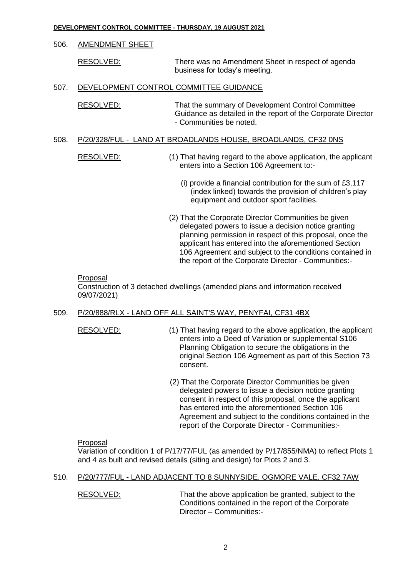# 506. AMENDMENT SHEET

RESOLVED: There was no Amendment Sheet in respect of agenda business for today's meeting.

# 507. DEVELOPMENT CONTROL COMMITTEE GUIDANCE

RESOLVED: That the summary of Development Control Committee Guidance as detailed in the report of the Corporate Director - Communities be noted.

#### 508. P/20/328/FUL - LAND AT BROADLANDS HOUSE, BROADLANDS, CF32 0NS

RESOLVED: (1) That having regard to the above application, the applicant enters into a Section 106 Agreement to:-

- (i) provide a financial contribution for the sum of £3,117 (index linked) towards the provision of children's play equipment and outdoor sport facilities.
- (2) That the Corporate Director Communities be given delegated powers to issue a decision notice granting planning permission in respect of this proposal, once the applicant has entered into the aforementioned Section 106 Agreement and subject to the conditions contained in the report of the Corporate Director - Communities:-

#### Proposal

Construction of 3 detached dwellings (amended plans and information received 09/07/2021)

# 509. P/20/888/RLX - LAND OFF ALL SAINT'S WAY, PENYFAI, CF31 4BX

- 
- RESOLVED: (1) That having regard to the above application, the applicant enters into a Deed of Variation or supplemental S106 Planning Obligation to secure the obligations in the original Section 106 Agreement as part of this Section 73 consent.
	- (2) That the Corporate Director Communities be given delegated powers to issue a decision notice granting consent in respect of this proposal, once the applicant has entered into the aforementioned Section 106 Agreement and subject to the conditions contained in the report of the Corporate Director - Communities:-

#### Proposal

Variation of condition 1 of P/17/77/FUL (as amended by P/17/855/NMA) to reflect Plots 1 and 4 as built and revised details (siting and design) for Plots 2 and 3.

## 510. P/20/777/FUL - LAND ADJACENT TO 8 SUNNYSIDE, OGMORE VALE, CF32 7AW

RESOLVED: That the above application be granted, subject to the Conditions contained in the report of the Corporate Director – Communities:-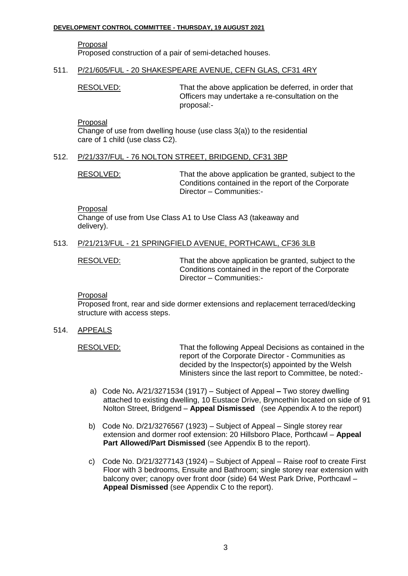# Proposal

Proposed construction of a pair of semi-detached houses.

#### 511. P/21/605/FUL - 20 SHAKESPEARE AVENUE, CEFN GLAS, CF31 4RY

RESOLVED: That the above application be deferred, in order that Officers may undertake a re-consultation on the proposal:-

Proposal

Change of use from dwelling house (use class 3(a)) to the residential care of 1 child (use class C2).

# 512. P/21/337/FUL - 76 NOLTON STREET, BRIDGEND, CF31 3BP

RESOLVED: That the above application be granted, subject to the Conditions contained in the report of the Corporate Director – Communities:-

Proposal

Change of use from Use Class A1 to Use Class A3 (takeaway and delivery).

# 513. P/21/213/FUL - 21 SPRINGFIELD AVENUE, PORTHCAWL, CF36 3LB

RESOLVED: That the above application be granted, subject to the Conditions contained in the report of the Corporate Director – Communities:-

#### Proposal

Proposed front, rear and side dormer extensions and replacement terraced/decking structure with access steps.

514. APPEALS

RESOLVED: That the following Appeal Decisions as contained in the report of the Corporate Director - Communities as decided by the Inspector(s) appointed by the Welsh Ministers since the last report to Committee, be noted:-

- a) Code No**.** A/21/3271534 (1917) Subject of Appeal **–** Two storey dwelling attached to existing dwelling, 10 Eustace Drive, Bryncethin located on side of 91 Nolton Street, Bridgend – **Appeal Dismissed** (see Appendix A to the report)
- b) Code No. D/21/3276567 (1923) Subject of Appeal Single storey rear extension and dormer roof extension: 20 Hillsboro Place, Porthcawl – **Appeal Part Allowed/Part Dismissed** (see Appendix B to the report).
- c) Code No. D/21/3277143 (1924) Subject of Appeal Raise roof to create First Floor with 3 bedrooms, Ensuite and Bathroom; single storey rear extension with balcony over; canopy over front door (side) 64 West Park Drive, Porthcawl – **Appeal Dismissed** (see Appendix C to the report).